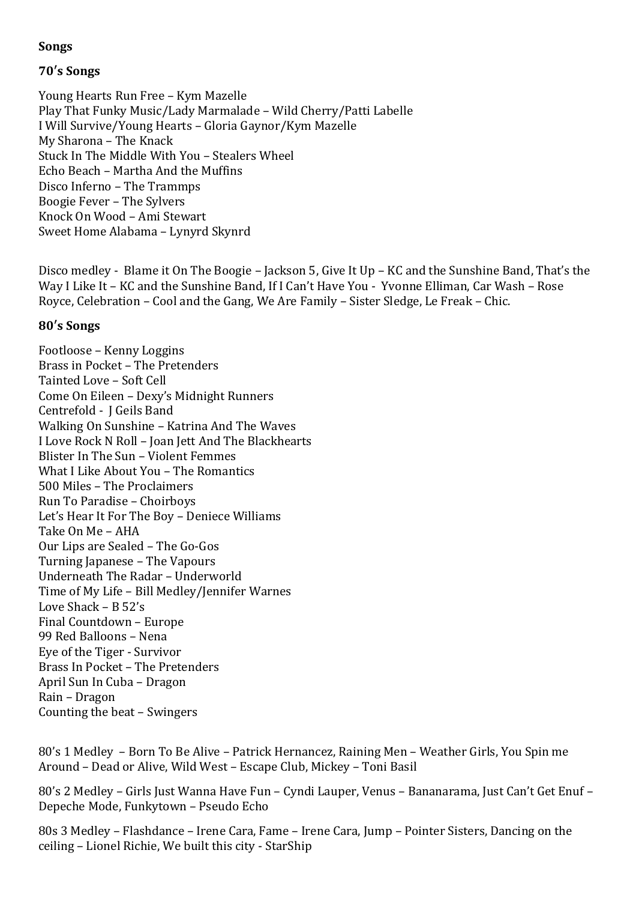## **Songs**

# **70′s Songs**

Young Hearts Run Free – Kym Mazelle Play That Funky Music/Lady Marmalade – Wild Cherry/Patti Labelle I Will Survive/Young Hearts – Gloria Gaynor/Kym Mazelle My Sharona – The Knack Stuck In The Middle With You – Stealers Wheel Echo Beach – Martha And the Muffins Disco Inferno – The Trammps Boogie Fever – The Sylvers Knock On Wood – Ami Stewart Sweet Home Alabama – Lynyrd Skynrd

Disco medley - Blame it On The Boogie – Jackson 5, Give It Up – KC and the Sunshine Band, That's the Way I Like It – KC and the Sunshine Band, If I Can't Have You - Yvonne Elliman, Car Wash – Rose Royce, Celebration – Cool and the Gang, We Are Family – Sister Sledge, Le Freak – Chic.

## **80′s Songs**

Footloose – Kenny Loggins Brass in Pocket – The Pretenders Tainted Love – Soft Cell Come On Eileen – Dexy's Midnight Runners Centrefold - J Geils Band Walking On Sunshine – Katrina And The Waves I Love Rock N Roll – Joan Jett And The Blackhearts Blister In The Sun – Violent Femmes What I Like About You – The Romantics 500 Miles – The Proclaimers Run To Paradise – Choirboys Let's Hear It For The Boy – Deniece Williams Take On Me – AHA Our Lips are Sealed – The Go-Gos Turning Japanese – The Vapours Underneath The Radar – Underworld Time of My Life – Bill Medley/Jennifer Warnes Love Shack – B 52's Final Countdown – Europe 99 Red Balloons – Nena Eye of the Tiger - Survivor Brass In Pocket – The Pretenders April Sun In Cuba – Dragon Rain – Dragon Counting the beat – Swingers

80's 1 Medley – Born To Be Alive – Patrick Hernancez, Raining Men – Weather Girls, You Spin me Around – Dead or Alive, Wild West – Escape Club, Mickey – Toni Basil

80's 2 Medley – Girls Just Wanna Have Fun – Cyndi Lauper, Venus – Bananarama, Just Can't Get Enuf – Depeche Mode, Funkytown – Pseudo Echo

80s 3 Medley – Flashdance – Irene Cara, Fame – Irene Cara, Jump – Pointer Sisters, Dancing on the ceiling – Lionel Richie, We built this city - StarShip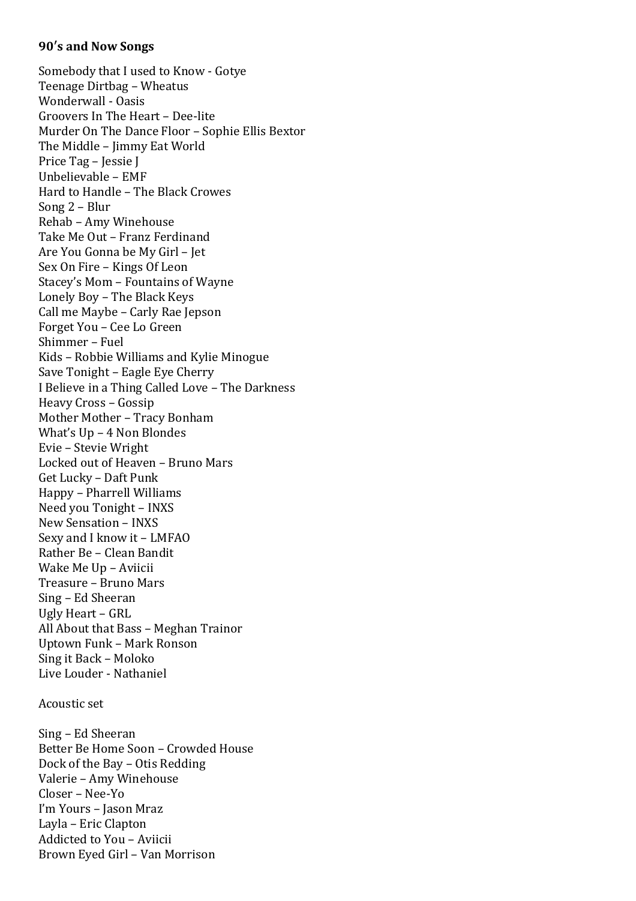#### **90′s and Now Songs**

Somebody that I used to Know - Gotye Teenage Dirtbag – Wheatus Wonderwall - Oasis Groovers In The Heart – Dee-lite Murder On The Dance Floor – Sophie Ellis Bextor The Middle – Jimmy Eat World Price Tag – Jessie J Unbelievable – EMF Hard to Handle – The Black Crowes Song 2 – Blur Rehab – Amy Winehouse Take Me Out – Franz Ferdinand Are You Gonna be My Girl – Jet Sex On Fire – Kings Of Leon Stacey's Mom – Fountains of Wayne Lonely Boy – The Black Keys Call me Maybe – Carly Rae Jepson Forget You – Cee Lo Green Shimmer – Fuel Kids – Robbie Williams and Kylie Minogue Save Tonight – Eagle Eye Cherry I Believe in a Thing Called Love – The Darkness Heavy Cross – Gossip Mother Mother – Tracy Bonham What's Up – 4 Non Blondes Evie – Stevie Wright Locked out of Heaven – Bruno Mars Get Lucky – Daft Punk Happy – Pharrell Williams Need you Tonight – INXS New Sensation – INXS Sexy and I know it – LMFAO Rather Be – Clean Bandit Wake Me Up – Aviicii Treasure – Bruno Mars Sing – Ed Sheeran Ugly Heart – GRL All About that Bass – Meghan Trainor Uptown Funk – Mark Ronson Sing it Back – Moloko Live Louder - Nathaniel

#### Acoustic set

Sing – Ed Sheeran Better Be Home Soon – Crowded House Dock of the Bay – Otis Redding Valerie – Amy Winehouse Closer – Nee-Yo I'm Yours – Jason Mraz Layla – Eric Clapton Addicted to You – Aviicii Brown Eyed Girl – Van Morrison